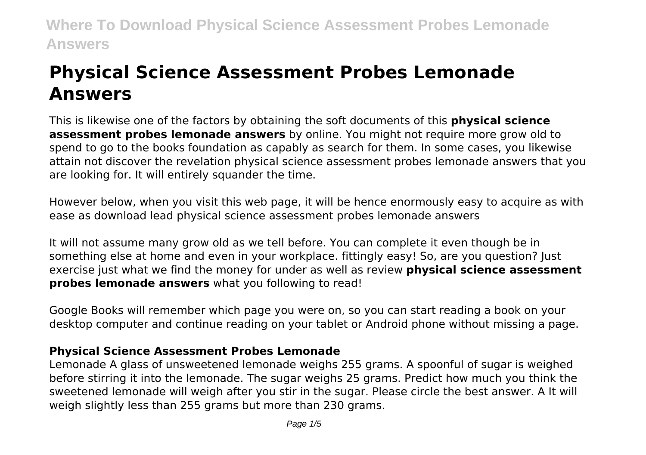# **Physical Science Assessment Probes Lemonade Answers**

This is likewise one of the factors by obtaining the soft documents of this **physical science assessment probes lemonade answers** by online. You might not require more grow old to spend to go to the books foundation as capably as search for them. In some cases, you likewise attain not discover the revelation physical science assessment probes lemonade answers that you are looking for. It will entirely squander the time.

However below, when you visit this web page, it will be hence enormously easy to acquire as with ease as download lead physical science assessment probes lemonade answers

It will not assume many grow old as we tell before. You can complete it even though be in something else at home and even in your workplace. fittingly easy! So, are you question? Just exercise just what we find the money for under as well as review **physical science assessment probes lemonade answers** what you following to read!

Google Books will remember which page you were on, so you can start reading a book on your desktop computer and continue reading on your tablet or Android phone without missing a page.

# **Physical Science Assessment Probes Lemonade**

Lemonade A glass of unsweetened lemonade weighs 255 grams. A spoonful of sugar is weighed before stirring it into the lemonade. The sugar weighs 25 grams. Predict how much you think the sweetened lemonade will weigh after you stir in the sugar. Please circle the best answer. A It will weigh slightly less than 255 grams but more than 230 grams.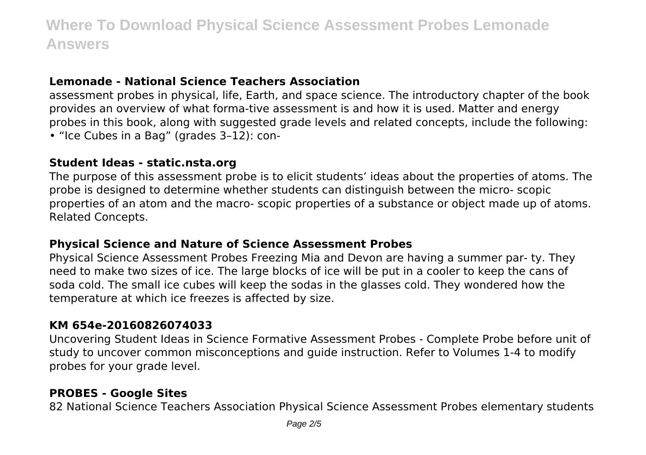### **Lemonade - National Science Teachers Association**

assessment probes in physical, life, Earth, and space science. The introductory chapter of the book provides an overview of what forma-tive assessment is and how it is used. Matter and energy probes in this book, along with suggested grade levels and related concepts, include the following: • "Ice Cubes in a Bag" (grades 3–12): con-

#### **Student Ideas - static.nsta.org**

The purpose of this assessment probe is to elicit students' ideas about the properties of atoms. The probe is designed to determine whether students can distinguish between the micro- scopic properties of an atom and the macro- scopic properties of a substance or object made up of atoms. Related Concepts.

#### **Physical Science and Nature of Science Assessment Probes**

Physical Science Assessment Probes Freezing Mia and Devon are having a summer par- ty. They need to make two sizes of ice. The large blocks of ice will be put in a cooler to keep the cans of soda cold. The small ice cubes will keep the sodas in the glasses cold. They wondered how the temperature at which ice freezes is affected by size.

#### **KM 654e-20160826074033**

Uncovering Student Ideas in Science Formative Assessment Probes - Complete Probe before unit of study to uncover common misconceptions and guide instruction. Refer to Volumes 1-4 to modify probes for your grade level.

### **PROBES - Google Sites**

82 National Science Teachers Association Physical Science Assessment Probes elementary students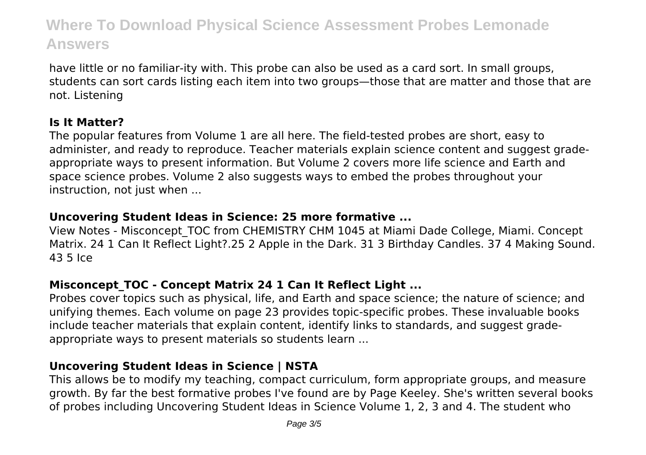have little or no familiar-ity with. This probe can also be used as a card sort. In small groups, students can sort cards listing each item into two groups—those that are matter and those that are not. Listening

# **Is It Matter?**

The popular features from Volume 1 are all here. The field-tested probes are short, easy to administer, and ready to reproduce. Teacher materials explain science content and suggest gradeappropriate ways to present information. But Volume 2 covers more life science and Earth and space science probes. Volume 2 also suggests ways to embed the probes throughout your instruction, not just when ...

# **Uncovering Student Ideas in Science: 25 more formative ...**

View Notes - Misconcept\_TOC from CHEMISTRY CHM 1045 at Miami Dade College, Miami. Concept Matrix. 24 1 Can It Reflect Light?.25 2 Apple in the Dark. 31 3 Birthday Candles. 37 4 Making Sound. 43 5 Ice

# **Misconcept\_TOC - Concept Matrix 24 1 Can It Reflect Light ...**

Probes cover topics such as physical, life, and Earth and space science; the nature of science; and unifying themes. Each volume on page 23 provides topic-specific probes. These invaluable books include teacher materials that explain content, identify links to standards, and suggest gradeappropriate ways to present materials so students learn ...

# **Uncovering Student Ideas in Science | NSTA**

This allows be to modify my teaching, compact curriculum, form appropriate groups, and measure growth. By far the best formative probes I've found are by Page Keeley. She's written several books of probes including Uncovering Student Ideas in Science Volume 1, 2, 3 and 4. The student who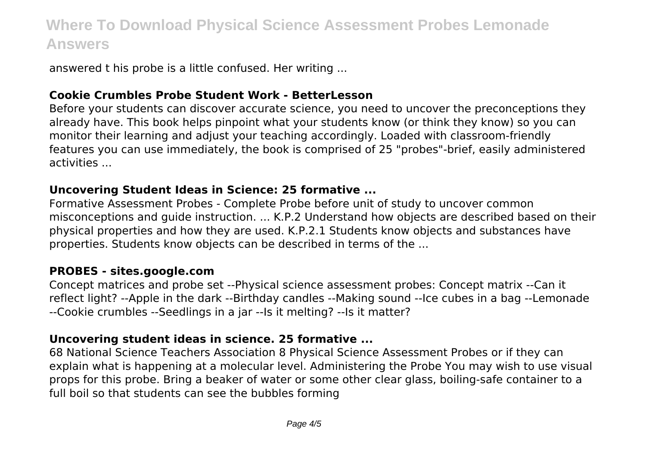answered t his probe is a little confused. Her writing ...

### **Cookie Crumbles Probe Student Work - BetterLesson**

Before your students can discover accurate science, you need to uncover the preconceptions they already have. This book helps pinpoint what your students know (or think they know) so you can monitor their learning and adjust your teaching accordingly. Loaded with classroom-friendly features you can use immediately, the book is comprised of 25 "probes"-brief, easily administered activities ...

#### **Uncovering Student Ideas in Science: 25 formative ...**

Formative Assessment Probes - Complete Probe before unit of study to uncover common misconceptions and guide instruction. ... K.P.2 Understand how objects are described based on their physical properties and how they are used. K.P.2.1 Students know objects and substances have properties. Students know objects can be described in terms of the ...

#### **PROBES - sites.google.com**

Concept matrices and probe set --Physical science assessment probes: Concept matrix --Can it reflect light? --Apple in the dark --Birthday candles --Making sound --Ice cubes in a bag --Lemonade --Cookie crumbles --Seedlings in a jar --Is it melting? --Is it matter?

#### **Uncovering student ideas in science. 25 formative ...**

68 National Science Teachers Association 8 Physical Science Assessment Probes or if they can explain what is happening at a molecular level. Administering the Probe You may wish to use visual props for this probe. Bring a beaker of water or some other clear glass, boiling-safe container to a full boil so that students can see the bubbles forming